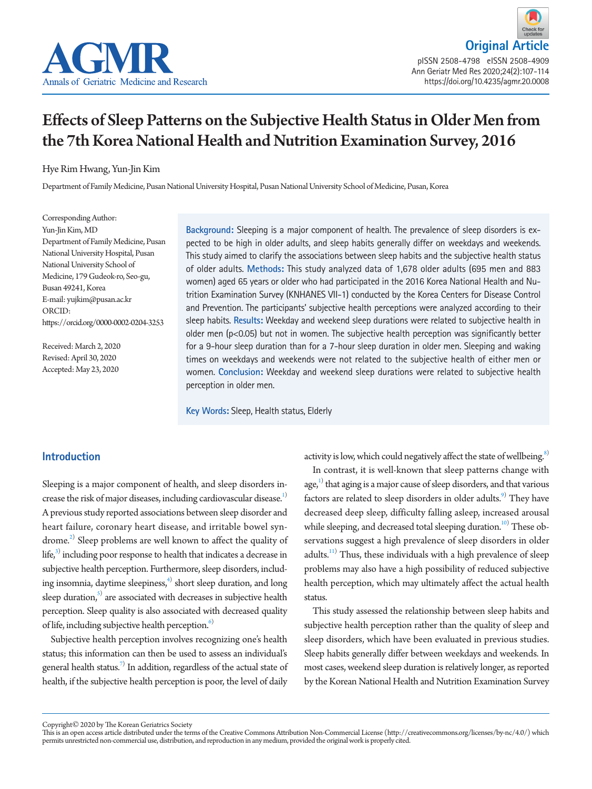

# Effects of Sleep Patterns on the Subjective Health Status in Older Men from the 7th Korea National Health and Nutrition Examination Survey, 2016

# Hye Rim Hwang, Yun-Jin Kim

Department of Family Medicine, Pusan National University Hospital, Pusan National University School of Medicine, Pusan, Korea

Corresponding Author: Yun-Jin Kim, MD Department of Family Medicine, Pusan National University Hospital, Pusan National University School of Medicine, 179 Gudeok-ro, Seo-gu, Busan 49241, Korea E-mail: yujkim@pusan.ac.kr ORCID: https://orcid.org/0000-0002-0204-3253

Received: March 2, 2020 Revised: April 30, 2020 Accepted: May 23, 2020

**Background:** Sleeping is a major component of health. The prevalence of sleep disorders is expected to be high in older adults, and sleep habits generally differ on weekdays and weekends. This study aimed to clarify the associations between sleep habits and the subjective health status of older adults. **Methods:** This study analyzed data of 1,678 older adults (695 men and 883 women) aged 65 years or older who had participated in the 2016 Korea National Health and Nutrition Examination Survey (KNHANES VII-1) conducted by the Korea Centers for Disease Control and Prevention. The participants' subjective health perceptions were analyzed according to their sleep habits. **Results:** Weekday and weekend sleep durations were related to subjective health in older men ( $p<0.05$ ) but not in women. The subjective health perception was significantly better for a 9-hour sleep duration than for a 7-hour sleep duration in older men. Sleeping and waking times on weekdays and weekends were not related to the subjective health of either men or women. **Conclusion:** Weekday and weekend sleep durations were related to subjective health perception in older men.

**Key Words:** Sleep, Health status, Elderly

# **Introduction**

Sleeping is a major component of health, and sleep disorders increase the risk of major diseases, including cardiovascular disease.<sup>1)</sup> A previous study reported associations between sleep disorder and heart failure, coronary heart disease, and irritable bowel syndrome.<sup>2)</sup> Sleep problems are well known to affect the quality of life, $^{3)}$  $^{3)}$  $^{3)}$  including poor response to health that indicates a decrease in subjective health perception. Furthermore, sleep disorders, including insomnia, daytime sleepiness, $\widehat{\hbox{ }}^4$  short sleep duration, and long sleep duration,<sup>5)</sup> are associated with decreases in subjective health perception. Sleep quality is also associated with decreased quality of life, including subjective health perception.<sup>6)</sup>

Subjective health perception involves recognizing one's health status; this information can then be used to assess an individual's general health status. $^{7)}$  $^{7)}$  $^{7)}$  In addition, regardless of the actual state of health, if the subjective health perception is poor, the level of daily

activity is low, which could negatively affect the state of wellbeing.<sup>8)</sup>

In contrast, it is well-known that sleep patterns change with  $age<sub>i</sub><sup>1)</sup>$  that aging is a major cause of sleep disorders, and that various factors are related to sleep disorders in older adults.<sup>9)</sup> They have decreased deep sleep, difficulty falling asleep, increased arousal while sleeping, and decreased total sleeping duration.<sup>10)</sup> These observations suggest a high prevalence of sleep disorders in older adults.<sup>11)</sup> Thus, these individuals with a high prevalence of sleep problems may also have a high possibility of reduced subjective health perception, which may ultimately affect the actual health status.

This study assessed the relationship between sleep habits and subjective health perception rather than the quality of sleep and sleep disorders, which have been evaluated in previous studies. Sleep habits generally differ between weekdays and weekends. In most cases, weekend sleep duration is relatively longer, as reported by the Korean National Health and Nutrition Examination Survey

Copyright© 2020 by The Korean Geriatrics Society

This is an open access article distributed under the terms of the Creative Commons Attribution Non-Commercial License (http://creativecommons.org/licenses/by-nc/4.0/) which permits unrestricted non-commercial use, distribution, and reproduction in any medium, provided the original work is properly cited.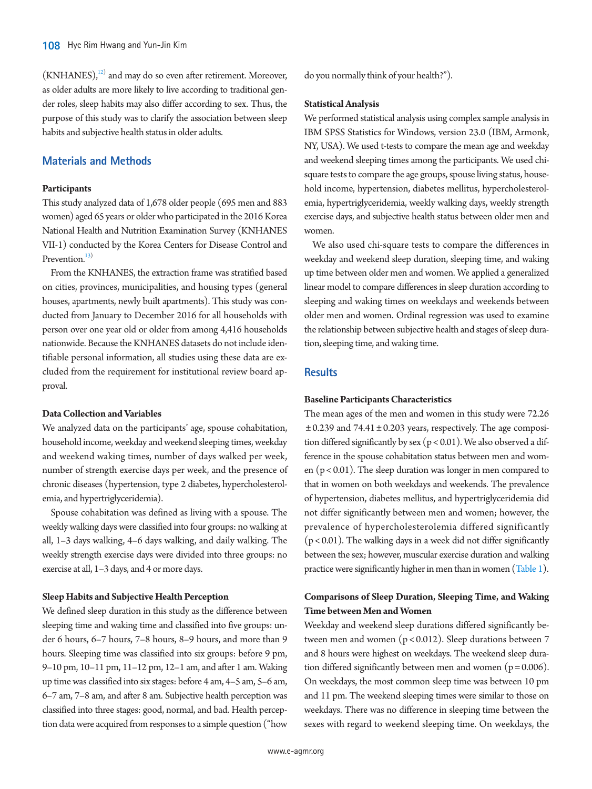$(KNHANES),<sup>12</sup>$  and may do so even after retirement. Moreover, as older adults are more likely to live according to traditional gender roles, sleep habits may also differ according to sex. Thus, the purpose of this study was to clarify the association between sleep habits and subjective health status in older adults.

# **Materials and Methods**

### **Participants**

This study analyzed data of 1,678 older people (695 men and 883 women) aged 65 years or older who participated in the 2016 Korea National Health and Nutrition Examination Survey (KNHANES VII-1) conducted by the Korea Centers for Disease Control and Prevention.<sup>13)</sup>

From the KNHANES, the extraction frame was stratified based on cities, provinces, municipalities, and housing types (general houses, apartments, newly built apartments). This study was conducted from January to December 2016 for all households with person over one year old or older from among 4,416 households nationwide. Because the KNHANES datasets do not include identifiable personal information, all studies using these data are excluded from the requirement for institutional review board approval.

# **Data Collection and Variables**

We analyzed data on the participants' age, spouse cohabitation, household income, weekday and weekend sleeping times, weekday and weekend waking times, number of days walked per week, number of strength exercise days per week, and the presence of chronic diseases (hypertension, type 2 diabetes, hypercholesterolemia, and hypertriglyceridemia).

Spouse cohabitation was defined as living with a spouse. The weekly walking days were classified into four groups: no walking at all, 1–3 days walking, 4–6 days walking, and daily walking. The weekly strength exercise days were divided into three groups: no exercise at all, 1–3 days, and 4 or more days.

#### **Sleep Habits and Subjective Health Perception**

We defined sleep duration in this study as the difference between sleeping time and waking time and classified into five groups: under 6 hours, 6–7 hours, 7–8 hours, 8–9 hours, and more than 9 hours. Sleeping time was classified into six groups: before 9 pm, 9–10 pm, 10–11 pm, 11–12 pm, 12–1 am, and after 1 am. Waking up time was classified into six stages: before 4 am, 4–5 am, 5–6 am, 6–7 am, 7–8 am, and after 8 am. Subjective health perception was classified into three stages: good, normal, and bad. Health perception data were acquired from responses to a simple question ("how

do you normally think of your health?").

#### **Statistical Analysis**

We performed statistical analysis using complex sample analysis in IBM SPSS Statistics for Windows, version 23.0 (IBM, Armonk, NY, USA). We used t-tests to compare the mean age and weekday and weekend sleeping times among the participants. We used chisquare tests to compare the age groups, spouse living status, household income, hypertension, diabetes mellitus, hypercholesterolemia, hypertriglyceridemia, weekly walking days, weekly strength exercise days, and subjective health status between older men and women.

We also used chi-square tests to compare the differences in weekday and weekend sleep duration, sleeping time, and waking up time between older men and women. We applied a generalized linear model to compare differences in sleep duration according to sleeping and waking times on weekdays and weekends between older men and women. Ordinal regression was used to examine the relationship between subjective health and stages of sleep duration, sleeping time, and waking time.

# **Results**

### **Baseline Participants Characteristics**

The mean ages of the men and women in this study were 72.26  $\pm$  0.239 and 74.41  $\pm$  0.203 years, respectively. The age composition differed significantly by sex (p < 0.01). We also observed a difference in the spouse cohabitation status between men and women  $(p < 0.01)$ . The sleep duration was longer in men compared to that in women on both weekdays and weekends. The prevalence of hypertension, diabetes mellitus, and hypertriglyceridemia did not differ significantly between men and women; however, the prevalence of hypercholesterolemia differed significantly  $(p < 0.01)$ . The walking days in a week did not differ significantly between the sex; however, muscular exercise duration and walking practice were significantly higher in men than in women [\(Table 1](#page-2-0)).

# **Comparisons of Sleep Duration, Sleeping Time, and Waking Time between Men and Women**

Weekday and weekend sleep durations differed significantly between men and women (p < 0.012). Sleep durations between 7 and 8 hours were highest on weekdays. The weekend sleep duration differed significantly between men and women  $(p = 0.006)$ . On weekdays, the most common sleep time was between 10 pm and 11 pm. The weekend sleeping times were similar to those on weekdays. There was no difference in sleeping time between the sexes with regard to weekend sleeping time. On weekdays, the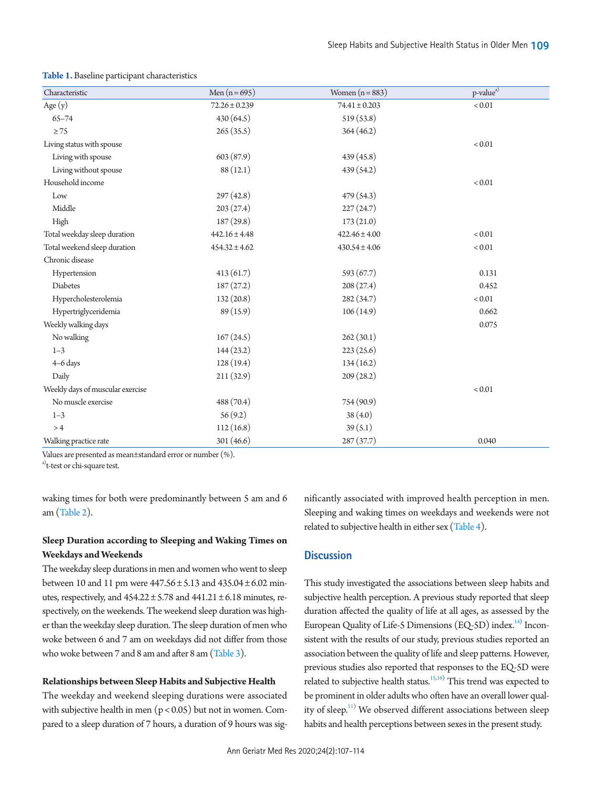| Characteristic                   | Men $(n = 695)$   | Women $(n=883)$   | p-value <sup>a)</sup> |
|----------------------------------|-------------------|-------------------|-----------------------|
|                                  |                   |                   |                       |
| Age (y)                          | $72.26 \pm 0.239$ | $74.41 \pm 0.203$ | $< 0.01$              |
| $65 - 74$                        | 430 (64.5)        | 519(53.8)         |                       |
| $\geq 75$                        | 265(35.5)         | 364(46.2)         |                       |
| Living status with spouse        |                   |                   | < 0.01                |
| Living with spouse               | 603 (87.9)        | 439(45.8)         |                       |
| Living without spouse            | 88(12.1)          | 439(54.2)         |                       |
| Household income                 |                   |                   | < 0.01                |
| Low                              | 297(42.8)         | 479(54.3)         |                       |
| Middle                           | 203(27.4)         | 227(24.7)         |                       |
| High                             | 187(29.8)         | 173(21.0)         |                       |
| Total weekday sleep duration     | $442.16 \pm 4.48$ | $422.46 \pm 4.00$ | < 0.01                |
| Total weekend sleep duration     | $454.32 \pm 4.62$ | $430.54 \pm 4.06$ | < 0.01                |
| Chronic disease                  |                   |                   |                       |
| Hypertension                     | 413(61.7)         | 593(67.7)         | 0.131                 |
| Diabetes                         | 187(27.2)         | 208(27.4)         | 0.452                 |
| Hypercholesterolemia             | 132(20.8)         | 282 (34.7)        | $< 0.01$              |
| Hypertriglyceridemia             | 89 (15.9)         | 106(14.9)         | 0.662                 |
| Weekly walking days              |                   |                   | 0.075                 |
| No walking                       | 167(24.5)         | 262(30.1)         |                       |
| $1 - 3$                          | 144(23.2)         | 223(25.6)         |                       |
| 4-6 days                         | 128(19.4)         | 134(16.2)         |                       |
| Daily                            | 211(32.9)         | 209(28.2)         |                       |
| Weekly days of muscular exercise |                   |                   | < 0.01                |
| No muscle exercise               | 488 (70.4)        | 754 (90.9)        |                       |
| $1 - 3$                          | 56(9.2)           | 38(4.0)           |                       |
| >4                               | 112(16.8)         | 39(5.1)           |                       |
| Walking practice rate            | 301 (46.6)        | 287(37.7)         | 0.040                 |

#### <span id="page-2-0"></span>**Table 1.** Baseline participant characteristics

Values are presented as mean±standard error or number (%).

<sup>a)</sup>t-test or chi-square test.

waking times for both were predominantly between 5 am and 6 am [\(Table 2](#page-3-0)).

# **Sleep Duration according to Sleeping and Waking Times on Weekdays and Weekends**

The weekday sleep durations in men and women who went to sleep between 10 and 11 pm were  $447.56 \pm 5.13$  and  $435.04 \pm 6.02$  minutes, respectively, and  $454.22 \pm 5.78$  and  $441.21 \pm 6.18$  minutes, respectively, on the weekends. The weekend sleep duration was higher than the weekday sleep duration. The sleep duration of men who woke between 6 and 7 am on weekdays did not differ from those who woke between 7 and 8 am and after 8 am [\(T](#page-4-0)able [3\)](#page-4-0).

# **Relationships between Sleep Habits and Subjective Health**

The weekday and weekend sleeping durations were associated with subjective health in men  $(p < 0.05)$  but not in women. Compared to a sleep duration of 7 hours, a duration of 9 hours was significantly associated with improved health perception in men. Sleeping and waking times on weekdays and weekends were not related to subjective health in either sex [\(Table 4\)](#page-5-0).

# **Discussion**

This study investigated the associations between sleep habits and subjective health perception. A previous study reported that sleep duration affected the quality of life at all ages, as assessed by the European Quality of Life-5 Dimensions (EQ-5D) index.<sup>[14](#page-6-12))</sup> Inconsistent with the results of our study, previous studies reported an association between the quality of life and sleep patterns. However, previous studies also reported that responses to the EQ-5D were related to subjective health status.<sup>[15](#page-6-13),[16](#page-6-14))</sup> This trend was expected to be prominent in older adults who often have an overall lower quality of sleep.<sup>11)</sup> We observed different associations between sleep habits and health perceptions between sexes in the present study.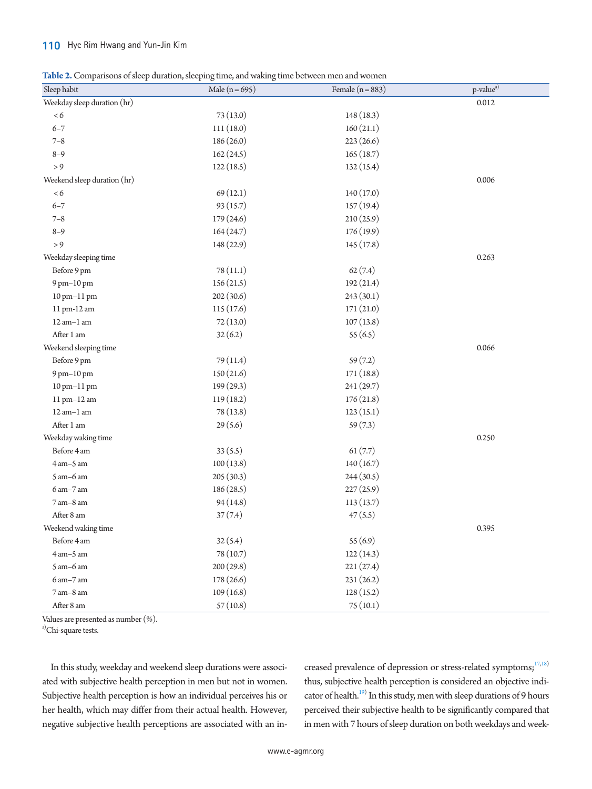# 110 Hye Rim Hwang and Yun-Jin Kim

<span id="page-3-0"></span>**Table 2.** Comparisons of sleep duration, sleeping time, and waking time between men and women

| Sleep habit                 | Male $(n=695)$ | Female $(n = 883)$ | $\mbox{p-value}^{\mbox{a)}}$ |
|-----------------------------|----------------|--------------------|------------------------------|
| Weekday sleep duration (hr) |                |                    | 0.012                        |
| < 6                         | 73(13.0)       | 148(18.3)          |                              |
| $6 - 7$                     | 111(18.0)      | 160(21.1)          |                              |
| $7 - 8$                     | 186(26.0)      | 223(26.6)          |                              |
| $8 - 9$                     | 162(24.5)      | 165(18.7)          |                              |
| > 9                         | 122(18.5)      | 132(15.4)          |                              |
| Weekend sleep duration (hr) |                |                    | 0.006                        |
| <6                          | 69(12.1)       | 140(17.0)          |                              |
| $6 - 7$                     | 93(15.7)       | 157(19.4)          |                              |
| $7 - 8$                     | 179(24.6)      | 210(25.9)          |                              |
| $8 - 9$                     | 164(24.7)      | 176(19.9)          |                              |
| > 9                         | 148 (22.9)     | 145(17.8)          |                              |
| Weekday sleeping time       |                |                    | 0.263                        |
| Before 9 pm                 | 78(11.1)       | 62(7.4)            |                              |
| 9 pm-10 pm                  | 156(21.5)      | 192(21.4)          |                              |
| 10 pm-11 pm                 | 202(30.6)      | 243 (30.1)         |                              |
| 11 pm-12 am                 | 115(17.6)      | 171(21.0)          |                              |
| $12$ am $-1$ am             | 72(13.0)       | 107(13.8)          |                              |
| After 1 am                  | 32(6.2)        | 55(6.5)            |                              |
| Weekend sleeping time       |                |                    | 0.066                        |
| Before 9 pm                 | 79(11.4)       | 59(7.2)            |                              |
| 9 pm-10 pm                  | 150(21.6)      | 171(18.8)          |                              |
| 10 pm-11 pm                 | 199(29.3)      | 241 (29.7)         |                              |
| 11 pm-12 am                 | 119(18.2)      | 176(21.8)          |                              |
| $12$ am $-1$ am             | 78 (13.8)      | 123(15.1)          |                              |
| After 1 am                  | 29(5.6)        | 59(7.3)            |                              |
| Weekday waking time         |                |                    | 0.250                        |
| Before 4 am                 | 33(5.5)        | 61(7.7)            |                              |
| 4 am-5 am                   | 100(13.8)      | 140(16.7)          |                              |
| $5$ am $-6$ am              | 205(30.3)      | 244(30.5)          |                              |
| $6$ am $-7$ am              | 186(28.5)      | 227(25.9)          |                              |
| $7$ am $-8$ am              | 94(14.8)       | 113(13.7)          |                              |
| After 8 am                  | 37(7.4)        | 47(5.5)            |                              |
| Weekend waking time         |                |                    | 0.395                        |
| Before 4 am                 | 32(5.4)        | 55(6.9)            |                              |
| $4$ am $-5$ am              | 78 (10.7)      | 122(14.3)          |                              |
| $5$ am $-6$ am              | 200(29.8)      | 221(27.4)          |                              |
| $6$ am $-7$ am              | 178(26.6)      | 231(26.2)          |                              |
| $7$ am $-8$ am              | 109(16.8)      | 128(15.2)          |                              |
| After 8 am                  | 57(10.8)       | 75(10.1)           |                              |

Values are presented as number (%).

a)Chi-square tests.

In this study, weekday and weekend sleep durations were associated with subjective health perception in men but not in women. Subjective health perception is how an individual perceives his or her health, which may differ from their actual health. However, negative subjective health perceptions are associated with an increased prevalence of depression or stress-related symptoms; $1^{7,18}$  $1^{7,18}$  $1^{7,18}$ ) thus, subjective health perception is considered an objective indicator of health.<sup>19)</sup> In this study, men with sleep durations of 9 hours perceived their subjective health to be significantly compared that in men with 7 hours of sleep duration on both weekdays and week-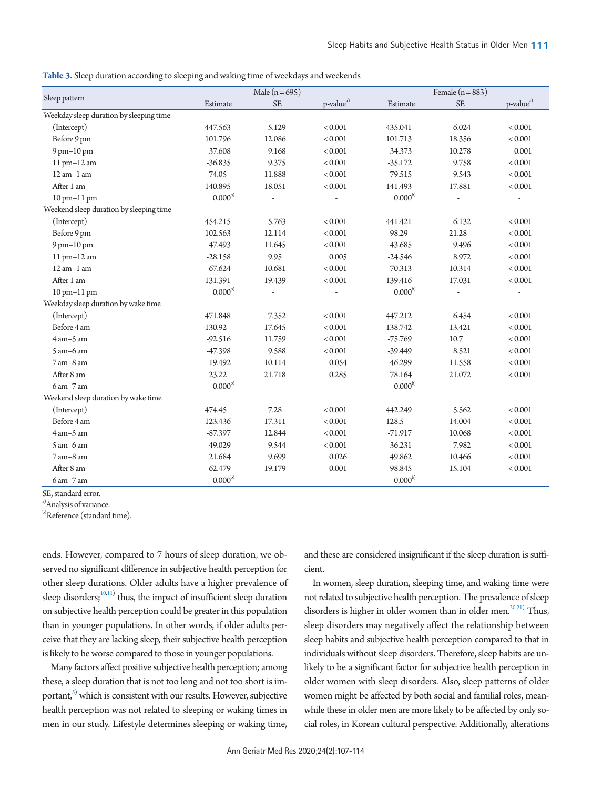<span id="page-4-0"></span>**Table 3.** Sleep duration according to sleeping and waking time of weekdays and weekends

|                                         |              | Male $(n=695)$           |                          | Female $(n=883)$ |                |                          |  |
|-----------------------------------------|--------------|--------------------------|--------------------------|------------------|----------------|--------------------------|--|
| Sleep pattern                           | Estimate     | <b>SE</b>                | p-value <sup>a)</sup>    | Estimate         | <b>SE</b>      | p-value <sup>a)</sup>    |  |
| Weekday sleep duration by sleeping time |              |                          |                          |                  |                |                          |  |
| (Intercept)                             | 447.563      | 5.129                    |                          | 435.041          | 6.024          | < 0.001                  |  |
| Before 9 pm                             | 101.796      | 12.086                   | < 0.001                  | 101.713          | 18.356         | < 0.001                  |  |
| 9 pm-10 pm                              | 37.608       | 9.168                    | < 0.001                  | 34.373           | 10.278         | 0.001                    |  |
| 11 pm-12 am                             | $-36.835$    | 9.375                    | < 0.001                  | $-35.172$        | 9.758          | < 0.001                  |  |
| $12$ am $-1$ am                         | $-74.05$     | 11.888                   | < 0.001                  | $-79.515$        | 9.543          | < 0.001                  |  |
| After 1 am                              | $-140.895$   | 18.051                   | < 0.001                  | $-141.493$       | 17.881         | < 0.001                  |  |
| 10 pm-11 pm                             | $0.000^{b)}$ |                          |                          | $0.000^{\rm b)}$ |                |                          |  |
| Weekend sleep duration by sleeping time |              |                          |                          |                  |                |                          |  |
| (Intercept)                             | 454.215      | 5.763<br>< 0.001         |                          | 441.421          | 6.132          | < 0.001                  |  |
| Before 9 pm                             | 102.563      | 12.114                   | < 0.001                  | 98.29            | 21.28          | < 0.001                  |  |
| 9 pm-10 pm                              | 47.493       | 11.645                   | < 0.001                  | 43.685           | 9.496          | < 0.001                  |  |
| $11$ pm $-12$ am                        | $-28.158$    | 9.95                     | 0.005                    | $-24.546$        | 8.972          | < 0.001                  |  |
| $12$ am $-1$ am                         | $-67.624$    | 10.681                   | < 0.001                  | $-70.313$        | 10.314         | < 0.001                  |  |
| After 1 am                              | $-131.391$   | 19.439                   | < 0.001                  | $-139.416$       | 17.031         | < 0.001                  |  |
| 10 pm-11 pm                             | $0.000^{b)}$ | $\overline{\phantom{a}}$ |                          | $0.000^{b)}$     | L,             |                          |  |
| Weekday sleep duration by wake time     |              |                          |                          |                  |                |                          |  |
| (Intercept)                             | 471.848      | 7.352                    | < 0.001                  | 447.212          | 6.454          | < 0.001                  |  |
| Before 4 am                             | $-130.92$    | 17.645                   | < 0.001                  | $-138.742$       | 13.421         | < 0.001                  |  |
| $4$ am $-5$ am                          | $-92.516$    | 11.759                   | < 0.001                  | $-75.769$        | 10.7           | < 0.001                  |  |
| $5 \text{ am}-6 \text{ am}$             | $-47.398$    | 9.588                    | < 0.001                  | $-39.449$        | 8.521          | < 0.001                  |  |
| $7$ am $-8$ am                          | 19.492       | 10.114                   | 0.054                    | 46.299           | 11.558         | < 0.001                  |  |
| After 8 am                              | 23.22        | 21.718                   | 0.285                    | 78.164           | 21.072         | < 0.001                  |  |
| $6 \text{ am} - 7 \text{ am}$           | $0.000^{b)}$ |                          |                          | $0.000^{b)}$     |                |                          |  |
| Weekend sleep duration by wake time     |              |                          |                          |                  |                |                          |  |
| (Intercept)                             | 474.45       | 7.28                     | < 0.001                  | 442.249          | 5.562          | < 0.001                  |  |
| Before 4 am                             | $-123.436$   | 17.311                   | < 0.001                  | $-128.5$         | 14.004         | < 0.001                  |  |
| $4$ am $-5$ am                          | $-87.397$    | 12.844                   | < 0.001                  | $-71.917$        | 10.068         | < 0.001                  |  |
| $5$ am $-6$ am                          | $-49.029$    | 9.544                    | < 0.001                  | $-36.231$        | 7.982          | < 0.001                  |  |
| $7$ am $-8$ am                          | 21.684       | 9.699                    | 0.026                    | 49.862           | 10.466         | < 0.001                  |  |
| After 8 am                              | 62.479       | 19.179                   | 0.001                    | 98.845           | 15.104         | < 0.001                  |  |
| $6$ am $-7$ am                          | $0.000^{b)}$ | $\overline{\phantom{a}}$ | $\overline{\phantom{a}}$ | $0.000^{b)}$     | $\overline{a}$ | $\overline{\phantom{a}}$ |  |

SE, standard error.

a)Analysis of variance.

b)Reference (standard time).

ends. However, compared to 7 hours of sleep duration, we observed no significant difference in subjective health perception for other sleep durations. Older adults have a higher prevalence of sleep disorders; $10,11)$  thus, the impact of insufficient sleep duration on subjective health perception could be greater in this population than in younger populations. In other words, if older adults perceive that they are lacking sleep, their subjective health perception is likely to be worse compared to those in younger populations.

Many factors affect positive subjective health perception; among these, a sleep duration that is not too long and not too short is important, $^{S)}$  which is consistent with our results. However, subjective health perception was not related to sleeping or waking times in men in our study. Lifestyle determines sleeping or waking time,

and these are considered insignificant if the sleep duration is sufficient.

In women, sleep duration, sleeping time, and waking time were not related to subjective health perception. The prevalence of sleep disorders is higher in older women than in older men.<sup>20,[21\)](#page-6-19)</sup> Thus, sleep disorders may negatively affect the relationship between sleep habits and subjective health perception compared to that in individuals without sleep disorders. Therefore, sleep habits are unlikely to be a significant factor for subjective health perception in older women with sleep disorders. Also, sleep patterns of older women might be affected by both social and familial roles, meanwhile these in older men are more likely to be affected by only social roles, in Korean cultural perspective. Additionally, alterations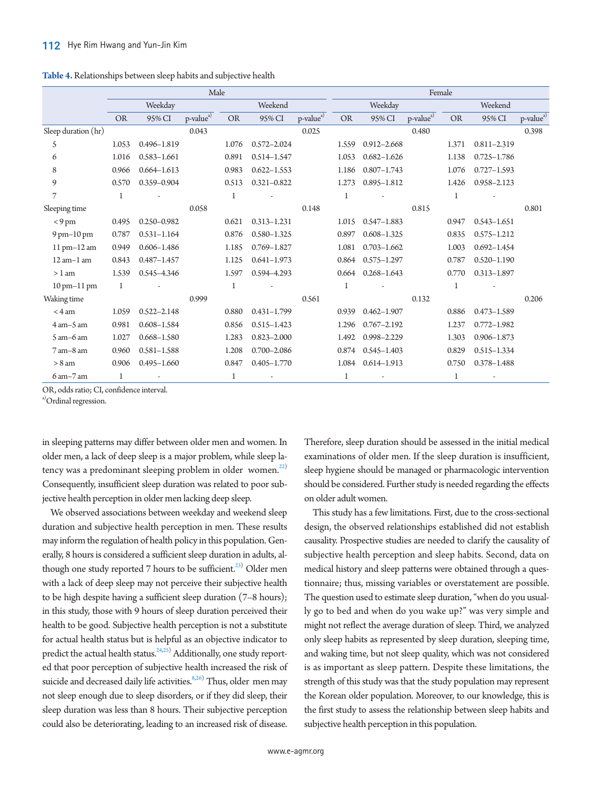<span id="page-5-0"></span>

| Table 4. Relationships between sleep habits and subjective health |  |  |
|-------------------------------------------------------------------|--|--|
|-------------------------------------------------------------------|--|--|

|                               | Male      |                 |                       |              | Female          |                       |           |                          |                       |              |                 |                       |
|-------------------------------|-----------|-----------------|-----------------------|--------------|-----------------|-----------------------|-----------|--------------------------|-----------------------|--------------|-----------------|-----------------------|
|                               | Weekday   |                 | Weekend               |              | Weekday         |                       |           | Weekend                  |                       |              |                 |                       |
|                               | <b>OR</b> | 95% CI          | p-value <sup>a)</sup> | <b>OR</b>    | 95% CI          | p-value <sup>a)</sup> | <b>OR</b> | 95% CI                   | p-value <sup>a)</sup> | <b>OR</b>    | 95% CI          | p-value <sup>a)</sup> |
| Sleep duration (hr)           |           |                 | 0.043                 |              |                 | 0.025                 |           |                          | 0.480                 |              |                 | 0.398                 |
| 5                             | 1.053     | 0.496-1.819     |                       | 1.076        | $0.572 - 2.024$ |                       | 1.559     | $0.912 - 2.668$          |                       | 1.371        | $0.811 - 2.319$ |                       |
| 6                             | 1.016     | $0.583 - 1.661$ |                       | 0.891        | $0.514 - 1.547$ |                       | 1.053     | $0.682 - 1.626$          |                       | 1.138        | $0.725 - 1.786$ |                       |
| 8                             | 0.966     | $0.664 - 1.613$ |                       | 0.983        | $0.622 - 1.553$ |                       | 1.186     | $0.807 - 1.743$          |                       | 1.076        | $0.727 - 1.593$ |                       |
| 9                             | 0.570     | 0.359-0.904     |                       | 0.513        | $0.321 - 0.822$ |                       | 1.273     | $0.895 - 1.812$          |                       | 1.426        | 0.958-2.123     |                       |
| 7                             | 1         |                 |                       | $\mathbf{1}$ |                 |                       | 1         |                          |                       | 1            |                 |                       |
| Sleeping time                 |           |                 | 0.058                 |              |                 | 0.148                 |           |                          | 0.815                 |              |                 | 0.801                 |
| $< 9 \text{ pm}$              | 0.495     | 0.250-0.982     |                       | 0.621        | $0.313 - 1.231$ |                       | 1.015     | $0.547 - 1.883$          |                       | 0.947        | $0.543 - 1.651$ |                       |
| $9$ pm $-10$ pm               | 0.787     | $0.531 - 1.164$ |                       | 0.876        | $0.580 - 1.325$ |                       | 0.897     | $0.608 - 1.325$          |                       | 0.835        | $0.575 - 1.212$ |                       |
| 11 pm-12 am                   | 0.949     | $0.606 - 1.486$ |                       | 1.185        | $0.769 - 1.827$ |                       | 1.081     | $0.703 - 1.662$          |                       | 1.003        | $0.692 - 1.454$ |                       |
| $12$ am $-1$ am               | 0.843     | $0.487 - 1.457$ |                       | 1.125        | $0.641 - 1.973$ |                       | 0.864     | $0.575 - 1.297$          |                       | 0.787        | $0.520 - 1.190$ |                       |
| $> 1$ am                      | 1.539     | 0.545-4.346     |                       | 1.597        | 0.594-4.293     |                       | 0.664     | $0.268 - 1.643$          |                       | 0.770        | $0.313 - 1.897$ |                       |
| $10 \text{ pm}-11 \text{ pm}$ | 1         |                 |                       | $\mathbf 1$  |                 |                       | 1         |                          |                       | $\mathbf{1}$ |                 |                       |
| Waking time                   |           |                 | 0.999                 |              |                 | 0.561                 |           |                          | 0.132                 |              |                 | 0.206                 |
| $<$ 4 am                      | 1.059     | $0.522 - 2.148$ |                       | 0.880        | $0.431 - 1.799$ |                       | 0.939     | $0.462 - 1.907$          |                       | 0.886        | $0.473 - 1.589$ |                       |
| $4$ am $-5$ am                | 0.981     | $0.608 - 1.584$ |                       | 0.856        | $0.515 - 1.423$ |                       | 1.296     | $0.767 - 2.192$          |                       | 1.237        | $0.772 - 1.982$ |                       |
| $5$ am $-6$ am                | 1.027     | $0.668 - 1.580$ |                       | 1.283        | $0.823 - 2.000$ |                       | 1.492     | 0.998-2.229              |                       | 1.303        | $0.906 - 1.873$ |                       |
| $7$ am $-8$ am                | 0.960     | $0.581 - 1.588$ |                       | 1.208        | $0.700 - 2.086$ |                       | 0.874     | $0.545 - 1.403$          |                       | 0.829        | $0.515 - 1.334$ |                       |
| $> 8$ am                      | 0.906     | $0.495 - 1.660$ |                       | 0.847        | $0.405 - 1.770$ |                       | 1.084     | $0.614 - 1.913$          |                       | 0.750        | $0.378 - 1.488$ |                       |
| $6 \text{ am}-7 \text{ am}$   | 1         |                 |                       | 1            |                 |                       | 1         | $\overline{\phantom{a}}$ |                       | 1            |                 |                       |

OR, odds ratio; CI, confidence interval.

a)Ordinal regression.

in sleeping patterns may differ between older men and women. In older men, a lack of deep sleep is a major problem, while sleep la-tency was a predominant sleeping problem in older women.<sup>[22\)](#page-6-20)</sup> Consequently, insufficient sleep duration was related to poor subjective health perception in older men lacking deep sleep.

We observed associations between weekday and weekend sleep duration and subjective health perception in men. These results may inform the regulation of health policy in this population. Generally, 8 hours is considered a sufficient sleep duration in adults, al-though one study reported 7 hours to be sufficient.<sup>[23](#page-7-0))</sup> Older men with a lack of deep sleep may not perceive their subjective health to be high despite having a sufficient sleep duration (7–8 hours); in this study, those with 9 hours of sleep duration perceived their health to be good. Subjective health perception is not a substitute for actual health status but is helpful as an objective indicator to predict the actual health status. $^{24,25)}$  $^{24,25)}$  $^{24,25)}$  Additionally, one study reported that poor perception of subjective health increased the risk of suicide and decreased daily life activities.<sup>8[,26](#page-7-3))</sup> Thus, older men may not sleep enough due to sleep disorders, or if they did sleep, their sleep duration was less than 8 hours. Their subjective perception could also be deteriorating, leading to an increased risk of disease.

Therefore, sleep duration should be assessed in the initial medical examinations of older men. If the sleep duration is insufficient, sleep hygiene should be managed or pharmacologic intervention should be considered. Further study is needed regarding the effects on older adult women.

This study has a few limitations. First, due to the cross-sectional design, the observed relationships established did not establish causality. Prospective studies are needed to clarify the causality of subjective health perception and sleep habits. Second, data on medical history and sleep patterns were obtained through a questionnaire; thus, missing variables or overstatement are possible. The question used to estimate sleep duration, "when do you usually go to bed and when do you wake up?" was very simple and might not reflect the average duration of sleep. Third, we analyzed only sleep habits as represented by sleep duration, sleeping time, and waking time, but not sleep quality, which was not considered is as important as sleep pattern. Despite these limitations, the strength of this study was that the study population may represent the Korean older population. Moreover, to our knowledge, this is the first study to assess the relationship between sleep habits and subjective health perception in this population.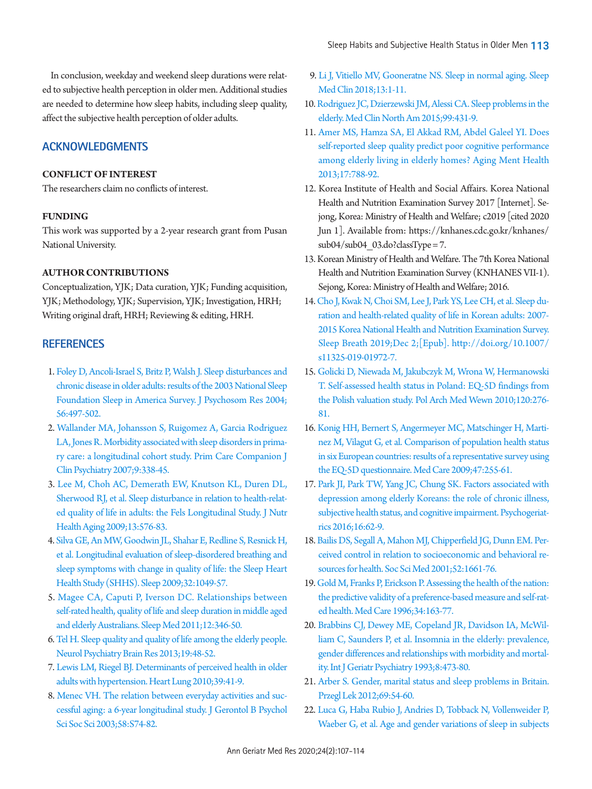In conclusion, weekday and weekend sleep durations were related to subjective health perception in older men. Additional studies are needed to determine how sleep habits, including sleep quality, affect the subjective health perception of older adults.

# **ACKNOWLEDGMENTS**

# **CONFLICT OF INTEREST**

The researchers claim no conflicts of interest.

# **FUNDING**

This work was supported by a 2-year research grant from Pusan National University.

# <span id="page-6-0"></span>**AUTHOR CONTRIBUTIONS**

Conceptualization, YJK; Data curation, YJK; Funding acquisition, YJK; Methodology, YJK; Supervision, YJK; Investigation, HRH; Writing original draft, HRH; Reviewing & editing, HRH.

# **REFERENCES**

- <span id="page-6-4"></span>1. Fol[ey D, Ancoli-Israel S, Britz P, Walsh J. Sleep disturbances and](https://doi.org/10.1016/j.jpsychores.2004.02.010)  [chronic disease in older adults: results of the 2003 National Sleep](https://doi.org/10.1016/j.jpsychores.2004.02.010)  [Foundation Sleep in America Survey. J Psychosom Res 2004;](https://doi.org/10.1016/j.jpsychores.2004.02.010) [56:497-502.](https://doi.org/10.1016/j.jpsychores.2004.02.010)
- <span id="page-6-1"></span>2. [Wallander MA, Johansson S, Ruigomez A, Garcia Rodriguez](https://doi.org/10.4088/PCC.v09n0502)  [LA, Jones R. Morbidity associated with sleep disorders in prima](https://doi.org/10.4088/PCC.v09n0502)[ry care: a longitudinal cohort study. Prim Care Companion J](https://doi.org/10.4088/PCC.v09n0502)  [Clin Psychiatry 2007;9:338-45.](https://doi.org/10.4088/PCC.v09n0502)
- <span id="page-6-2"></span>[3. Lee M, Choh AC, Demerath EW, Knutson KL, Duren DL,](https://doi.org/10.1007/s12603-009-0110-1)  [Sherwood RJ, et al. Sleep disturbance in relation to health-relat](https://doi.org/10.1007/s12603-009-0110-1)[ed quality of life in adults: the Fels Longitudinal Study. J Nutr](https://doi.org/10.1007/s12603-009-0110-1)  [Health Aging 2009;13:576-83](https://doi.org/10.1007/s12603-009-0110-1).
- <span id="page-6-3"></span>[4. Silva GE, An MW, Goodwin JL, Shahar E, Redline S, Resnick H,](https://doi.org/10.1093/sleep/32.8.1049)  [et al. Longitudinal evaluation of sleep-disordered breathing and](https://doi.org/10.1093/sleep/32.8.1049)  [sleep symptoms with change in quality of life: the Sleep Heart](https://doi.org/10.1093/sleep/32.8.1049)  [Health Study \(SHHS\). Sleep 2009;32:1049-57](https://doi.org/10.1093/sleep/32.8.1049).
- 5. [Magee CA, Caputi P, Iverson DC. Relationships between](https://doi.org/10.1016/j.sleep.2010.09.013)  [self-rated health, quality of life and sleep duration in middle aged](https://doi.org/10.1016/j.sleep.2010.09.013)  [and elderly Australians. Sleep Med 2011;12:346-50.](https://doi.org/10.1016/j.sleep.2010.09.013)
- <span id="page-6-5"></span>[6. Tel H. Sleep quality and quality of life among the elderly people.](https://doi.org/10.1016/j.npbr.2012.10.002)  [Neurol Psychiatry Brain Res 2013;19:48-52.](https://doi.org/10.1016/j.npbr.2012.10.002)
- <span id="page-6-9"></span><span id="page-6-6"></span>7. Lewis LM, Riegel BJ. Determinants of perceived health in older adults with hypertension. Heart Lung 2010;39:41-9.
- <span id="page-6-7"></span>8. Menec VH. The [relation between everyday activities and suc](https://doi.org/10.1093/geronb/58.2.S74)[cessful aging: a 6-year longitudinal study. J Gerontol B Psychol](https://doi.org/10.1093/geronb/58.2.S74)  [Sci Soc Sci 2003;58:S74-82.](https://doi.org/10.1093/geronb/58.2.S74)
- <span id="page-6-8"></span>9[. Li J, Vitiello MV, Gooneratne NS. Sleep in normal aging. Sleep](https://doi.org/10.1016/j.jsmc.2017.09.001)  [Med Clin 2018;13:1-11.](https://doi.org/10.1016/j.jsmc.2017.09.001)
- 10. [Rodriguez JC, Dzierzewski JM, Alessi CA. Sleep problems in the](https://doi.org/10.1016/j.mcna.2014.11.013)  [elderly. Med Clin North Am 2015;99:431-9.](https://doi.org/10.1016/j.mcna.2014.11.013)
- 11. [Amer MS, Hamza SA, El Akkad RM, Abdel Galeel YI. Does](https://doi.org/10.1080/13607863.2013.790930)  [self-reported sleep quality predict poor cognitive performance](https://doi.org/10.1080/13607863.2013.790930)  [among elderly living in elderly homes? Aging Ment Health](https://doi.org/10.1080/13607863.2013.790930)  [2013;17:788-92.](https://doi.org/10.1080/13607863.2013.790930)
- <span id="page-6-10"></span>12. Korea Institute of Health and Social Affairs. Korea National Health and Nutrition Examination Survey 2017 [Internet]. Sejong, Korea: Ministry of Health and Welfare; c2019 [cited 2020 Jun 1]. Available from: [https://knhanes.cdc.go.kr/knhanes/](https://knhanes.cdc.go.kr/knhanes/sub04/sub04_03.do?classType=7.)  $sub04/sub04$  03.do?classType = 7.
- <span id="page-6-11"></span>13. Korean Ministry of Health and Welfare. The 7th Korea National Health and Nutrition Examination Survey (KNHANES VII-1). Sejong, Korea: Ministry of Health and Welfare; 2016.
- <span id="page-6-12"></span>14[. Cho J, Kwak N, Choi SM, Lee J, Park YS, Lee CH, et al. Sleep du](http://doi.org/10.1007/s11325-019-01972-7)[ration and health-related quality of life in Korean adults: 2007-](http://doi.org/10.1007/s11325-019-01972-7) [2015 Korea National Health and Nutrition Examination Survey.](http://doi.org/10.1007/s11325-019-01972-7)  [Sleep Breath 2019;Dec 2;\[Epub\]. http://doi.org](http://doi.org/10.1007/s11325-019-01972-7)/10.1007/ s11325-019-01972-7.
- <span id="page-6-13"></span>15[. Golicki D, Niewada M, Jakubczyk M, Wrona W, Hermanowski](https://www.ncbi.nlm.nih.gov/pubmed/20693958)  [T. Self-assessed health status in Poland: EQ-5D findings from](https://www.ncbi.nlm.nih.gov/pubmed/20693958)  [the Polish valuation study. Pol Arch Med Wewn 2010;120:276-](https://www.ncbi.nlm.nih.gov/pubmed/20693958) [81.](https://www.ncbi.nlm.nih.gov/pubmed/20693958)
- <span id="page-6-14"></span>16[. Konig HH, Bernert S, Angermeyer MC, Matschinger H, Marti](https://doi.org/10.1097/MLR.0b013e318184759e)[nez M, Vilagut G, et al. Comparison of population health status](https://doi.org/10.1097/MLR.0b013e318184759e)  [in six European countries: results of a representative survey using](https://doi.org/10.1097/MLR.0b013e318184759e)  [the EQ-5D questionnaire. Med Car](https://doi.org/10.1097/MLR.0b013e318184759e)e 2009;47:255-61.
- <span id="page-6-15"></span>17[. Park JI, Park TW, Yang JC, Chung SK. Factors associated with](https://doi.org/10.1111/psyg.12160)  [depression among elderly Koreans: the role of chronic illness,](https://doi.org/10.1111/psyg.12160)  [subjective health status, and cognitive impairment. Psychogeriat](https://doi.org/10.1111/psyg.12160)[rics 2016;16:62-9.](https://doi.org/10.1111/psyg.12160)
- <span id="page-6-16"></span>18[. Bailis DS, Segall A, Mahon MJ, Chipperfield JG, Dunn EM. Per](https://doi.org/10.1016/S0277-9536(00)00280-X)[ceived control in relation to socioeconomic and behavioral re](https://doi.org/10.1016/S0277-9536(00)00280-X)[sources for health. Soc Sci Med 2001;52:1661-76.](https://doi.org/10.1016/S0277-9536(00)00280-X)
- <span id="page-6-17"></span>19[. Gold M, Franks P, Erickson P. Assessing the health of the nation:](https://doi.org/10.1097/00005650-199602000-00008)  [the predictive validity of a preference-based measure and self-rat](https://doi.org/10.1097/00005650-199602000-00008)[ed health. Med Care 1996;34:163-77](https://doi.org/10.1097/00005650-199602000-00008).
- <span id="page-6-18"></span>20[. Brabbins CJ, Dewey ME, Copeland JR, Davidson IA, McWil](https://doi.org/10.1002/gps.930080604)[liam C, Saunders P, et al. Insomnia in the elderly: prevalence,](https://doi.org/10.1002/gps.930080604)  [gender differences and relationships with morbidity and mortal](https://doi.org/10.1002/gps.930080604)[ity. Int J Geriatr Psychiatry 1993;8:473-80](https://doi.org/10.1002/gps.930080604).
- <span id="page-6-19"></span>21[. Arber S. Gender, marital status and sleep problems in Britain.](https://www.ncbi.nlm.nih.gov/pubmed/22768414)  [Przegl Lek 2012;69:54-60.](https://www.ncbi.nlm.nih.gov/pubmed/22768414)
- <span id="page-6-20"></span>22[. Luca G, Haba Rubio J, Andries D, Tobback N, Vollenweider P,](https://doi.org/10.3109/07853890.2015.1074271)  [Waeber G, et al. Age and gender variations of sleep in subjects](https://doi.org/10.3109/07853890.2015.1074271)